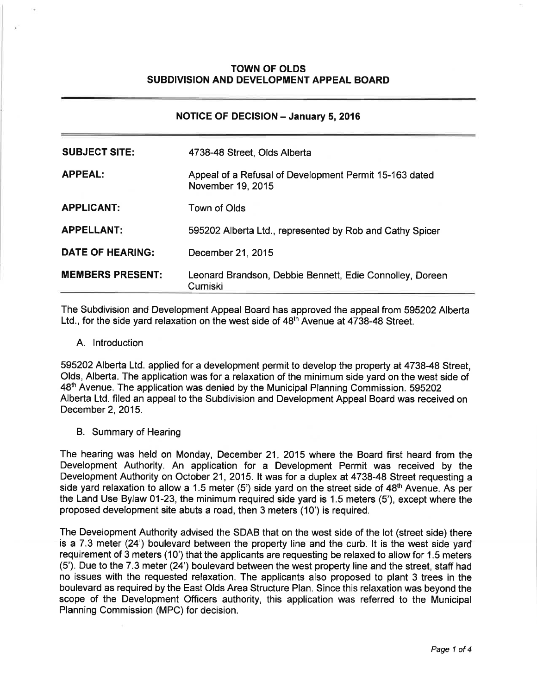## **TOWN OF OLDS** SUBDIVISION AND DEVELOPMENT APPEAL BOARD

| <b>NOTICE OF DECISION - January 5, 2016</b> |                                                                             |
|---------------------------------------------|-----------------------------------------------------------------------------|
| <b>SUBJECT SITE:</b>                        | 4738-48 Street, Olds Alberta                                                |
| <b>APPEAL:</b>                              | Appeal of a Refusal of Development Permit 15-163 dated<br>November 19, 2015 |
| <b>APPLICANT:</b>                           | Town of Olds                                                                |
| <b>APPELLANT:</b>                           | 595202 Alberta Ltd., represented by Rob and Cathy Spicer                    |
| <b>DATE OF HEARING:</b>                     | December 21, 2015                                                           |
| <b>MEMBERS PRESENT:</b>                     | Leonard Brandson, Debbie Bennett, Edie Connolley, Doreen<br>Curniski        |

The Subdivision and Development Appeal Board has approved the appeal from 595202 Alberta Ltd., for the side yard relaxation on the west side of 48<sup>th</sup> Avenue at 4738-48 Street.

A. lntroduction

595202 Alberta Ltd. applied for a development permit to develop the property at 4738-48 Street, Olds, Alberta. The application was for a relaxation of the minimum side yard on the west side of 48<sup>th</sup> Avenue. The application was denied by the Municipal Planning Commission. 595202 Alberta Ltd. filed an appeal to the Subdivision and Development Appeal Board was received on December 2, 2015.

B. Summary of Hearing

The hearing was held on Monday, December 21, 2015 where the Board first heard from the Development Authority. An application for a Development Permit was received by the Development Authority on October 21, 2015. It was for a duplex at 4738-48 Street requesting a side yard relaxation to allow a 1.5 meter (5') side yard on the street side of  $48<sup>th</sup>$  Avenue. As per the Land Use Bylaw 01-23, the minimum required side yard is 1.5 meters (5'), except where the proposed development site abuts a road, then 3 meters (10') is required.

The Development Authority advised the SDAB that on the west side of the lot (street side) there is a 7.3 meter (24') boulevard between the property line and the curb. lt is the west side yard requirement of 3 meters (10') that the applicants are requesting be relaxed to allow for 1.5 meters (5'). Due to the 7.3 meter (24') boulevard between the west property line and the street, staff had no issues with the requested relaxation. The applicants also proposed to plant 3 trees in the boulevard as required by the East Olds Area Structure Plan. Since this relaxation was beyond the scope of the Development Officers authority, this application was referred to the Municipal Planning Commission (MPC) for decision.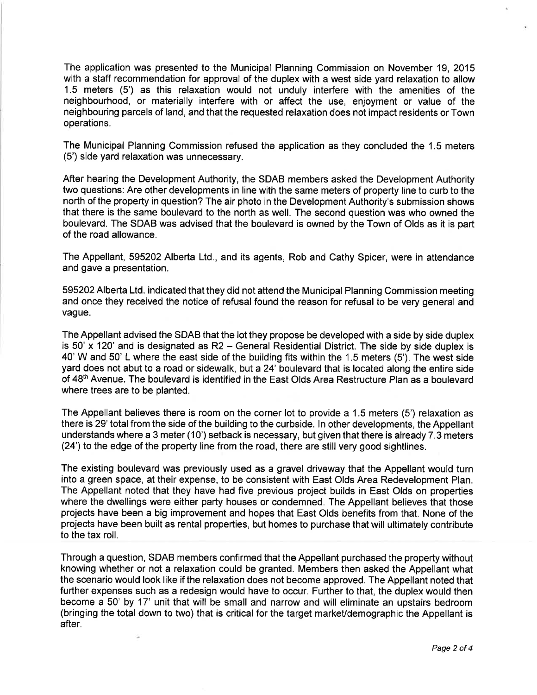The application was presented to the Municipal Planning Commission on November 19, 2015 with a staff recommendation for approval of the duplex with a west side yard relaxation to allow 1.5 meters (5') as this relaxation would not unduly interfere with the amenities of the neighbourhood, or materially interfere with or affect the use, enjoyment or value of the neighbouring parcels of land, and that the requested relaxation does not impact residents orTown operations.

The Municipal Planning Commission refused the application as they concluded the 1.5 meters (5') side yard relaxation was unnecessary.

After hearing the Development Authority, the SDAB members asked the Development Authority two questions: Are other developments in line with the same meters of property line to curb to the north of the property in question? The air photo in the Development Authority's submission shows that there is the same boulevard to the north as well. The second question was who owned the boulevard. The SDAB was advised that the boulevard is owned by the Town of Olds as it is part of the road allowance.

The Appellant, 595202 Alberta Ltd., and its agents, Rob and Cathy Spicer, were in attendance and gave a presentation.

595202Alberta Ltd. indicated that they did not attend the Municipal Planning Commission meeting and once they received the notice of refusal found the reason for refusal to be very general and vague.

The Appellant advised the SDAB that the lot they propose be developed with a side by side duplex is 50' x 120' and is designated as R2 - General Residential District. The side by side duplex is 40' W and 50' L where the east side of the building fits within the 1.5 meters (5'). The west side yard does not abut to a road or sidewalk, but a 24' boulevard that is located along the entire side of 48<sup>th</sup> Avenue. The boulevard is identified in the East Olds Area Restructure Plan as a boulevard where trees are to be planted.

The Appellant believes there is room on the corner lot to provide a 1.5 meters (5') relaxation as there is 29' total from the side of the building to the curbside. ln other developments, the Appellant understands where a 3 meter (10') setback is necessary, but given that there is already 7.3 meters (24') to the edge of the property line from the road, there are still very good sightlines.

The existing boulevard was previously used as a gravel driveway that the Appellant would turn into a green space, at their expense, to be consistent with East Olds Area Redevelopment Plan. The Appellant noted that they have had five previous project builds in East Olds on properties where the dwellings were either party houses or condemned. The Appellant believes that those projects have been a big improvement and hopes that East Olds benefits from that. None of the projects have been built as rental properties, but homes to purchase that will ultimately contribute to the tax roll.

Through a question, SDAB members confirmed that the Appellant purchased the property without knowing whether or not a relaxation could be granted. Members then asked the Appellant what the scenario would look like if the relaxation does not become approved. The Appellant noted that further expenses such as a redesign would have to occur. Further to that, the duplex would then become a 50' by 17' unit that will be small and narrow and will eliminate an upstairs bedroom (bringing the total down to two) that is critical for the target markeVdemographic the Appellant is after.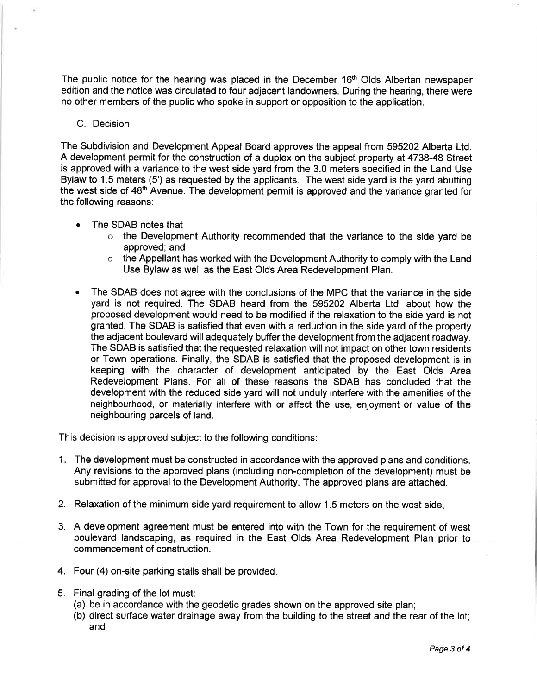The public notice for the hearing was placed in the December  $16<sup>th</sup>$  Olds Albertan newspaper edition and the notice was circulated to four adjacent landowners. During the hearing, there were no other members of the public who spoke in support or opposition to the application.

## C. Decision

The Subdivision and Development Appeal Board approves the appeal from 595202 Alberta Ltd. A development permit for the construction of a duplex on the subject property at 4738-48 Street is approved with a variance to the west side yard from the 3.0 meters specified in the Land Use Bylaw to 1.5 meters (5') as requested by the applicants. The west side yard is the yard abutting the west side of 48<sup>th</sup> Avenue. The development permit is approved and the variance granted for the following reasons:

- The SDAB notes that a
	- $\circ$  the Development Authority recommended that the variance to the side yard be approved; and
	- o the Appellant has worked with the Development Authority to comply with the Land Use Bylaw as well as the East Olds Area Redevelopment Plan.
- The SDAB does not agree with the conclusions of the MPC that the variance in the side yard is not required. The SDAB heard from the 595202 Alberta Ltd. about how the proposed development would need to be modified if the relaxation to the side yard is not granted. The SDAB is satisfied that even with a reduction in the side yard of the property the adjacent boulevard will adequately bufferthe development from the adjacent roadway. The SDAB is satisfied that the requested relaxation will not impact on other town residents or Town operations. Finally, the SDAB is satisfied that the proposed development is in keeping with the character of development anticipated by the East Olds Area Redevelopment Plans. For all of these reasons the SDAB has concluded that the development with the reduced side yard will not unduly interfere with the amenities of the neighbourhood, or materially interfere with or affect the use, enjoyment or value of the neighbouring parcels of land. a

This decision is approved subject to the following conditions:

- 1. The development must be constructed in accordance with the approved plans and conditions. Any revisions to the approved plans (including non-completion of the development) must be submitted for approval to the Development Authority. The approved plans are attached.
- 2. Relaxation of the minimum side yard requirement to allow 1.5 meters on the west side
- 3. A development agreement must be entered into with the Town for the requirement of west boulevard landscaping, as required in the East Olds Area Redevelopment Plan prior to com mencement of construction.
- 4. Four (4) on-site parking stalls shall be provided
- 5. Final grading of the lot must:
	- (a) be in accordance with the geodetic grades shown on the approved site plan;
	- (b) direct surface water drainage away from the building to the street and the rear of the lot; and